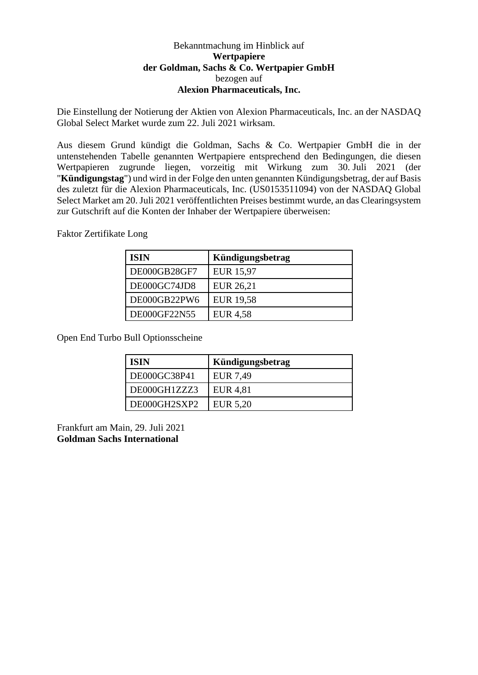## Bekanntmachung im Hinblick auf **Wertpapiere der Goldman, Sachs & Co. Wertpapier GmbH** bezogen auf **Alexion Pharmaceuticals, Inc.**

Die Einstellung der Notierung der Aktien von Alexion Pharmaceuticals, Inc. an der NASDAQ Global Select Market wurde zum 22. Juli 2021 wirksam.

Aus diesem Grund kündigt die Goldman, Sachs & Co. Wertpapier GmbH die in der untenstehenden Tabelle genannten Wertpapiere entsprechend den Bedingungen, die diesen Wertpapieren zugrunde liegen, vorzeitig mit Wirkung zum 30. Juli 2021 (der "**Kündigungstag**") und wird in der Folge den unten genannten Kündigungsbetrag, der auf Basis des zuletzt für die Alexion Pharmaceuticals, Inc. (US0153511094) von der NASDAQ Global Select Market am 20. Juli 2021 veröffentlichten Preises bestimmt wurde, an das Clearingsystem zur Gutschrift auf die Konten der Inhaber der Wertpapiere überweisen:

Faktor Zertifikate Long

| <b>ISIN</b>  | Kündigungsbetrag |
|--------------|------------------|
| DE000GB28GF7 | <b>EUR 15,97</b> |
| DE000GC74JD8 | EUR 26,21        |
| DE000GB22PW6 | <b>EUR 19,58</b> |
| DE000GF22N55 | <b>EUR 4,58</b>  |

Open End Turbo Bull Optionsscheine

| <b>ISIN</b>  | Kündigungsbetrag |
|--------------|------------------|
| DE000GC38P41 | EUR 7,49         |
| DE000GH1ZZZ3 | EUR 4,81         |
| DE000GH2SXP2 | EUR 5,20         |

Frankfurt am Main, 29. Juli 2021 **Goldman Sachs International**